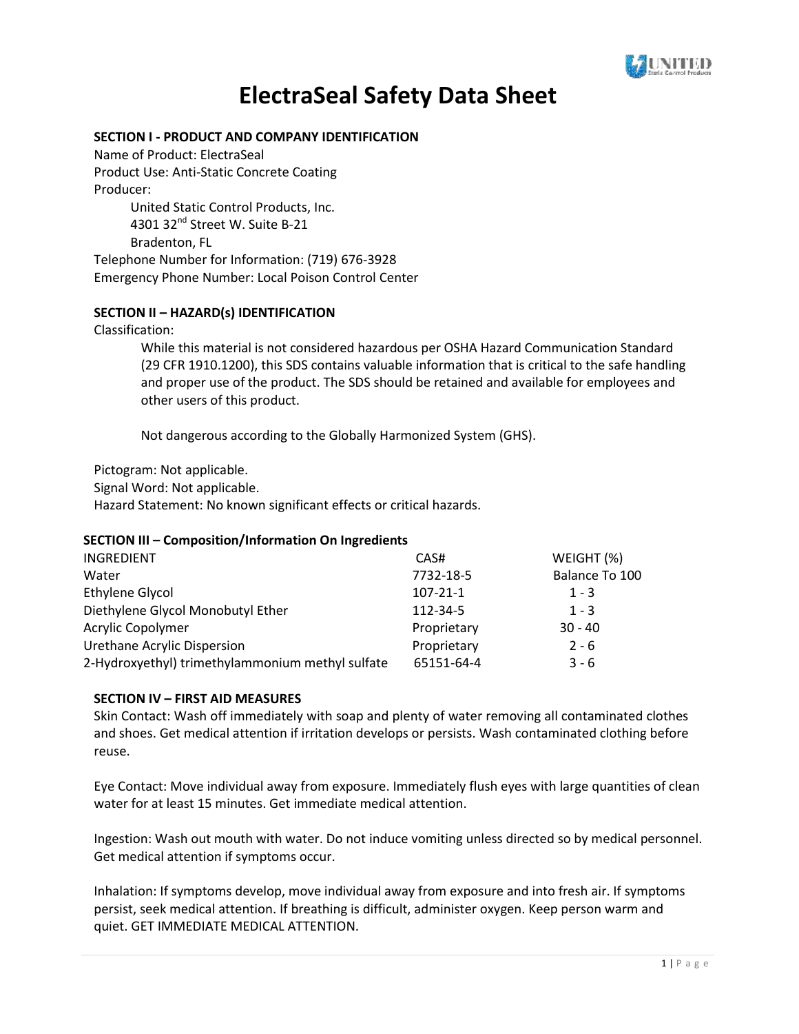

## **SECTION I - PRODUCT AND COMPANY IDENTIFICATION**

Name of Product: ElectraSeal Product Use: Anti-Static Concrete Coating Producer: United Static Control Products, Inc. 4301 32<sup>nd</sup> Street W. Suite B-21

Bradenton, FL

Telephone Number for Information: (719) 676-3928 Emergency Phone Number: Local Poison Control Center

## **SECTION II – HAZARD(s) IDENTIFICATION**

Classification:

While this material is not considered hazardous per OSHA Hazard Communication Standard (29 CFR 1910.1200), this SDS contains valuable information that is critical to the safe handling and proper use of the product. The SDS should be retained and available for employees and other users of this product.

Not dangerous according to the Globally Harmonized System (GHS).

Pictogram: Not applicable.

Signal Word: Not applicable.

Hazard Statement: No known significant effects or critical hazards.

## **SECTION III – Composition/Information On Ingredients**

| INGREDIENT                                       | CAS#           | WEIGHT (%)     |
|--------------------------------------------------|----------------|----------------|
| Water                                            | 7732-18-5      | Balance To 100 |
| <b>Ethylene Glycol</b>                           | $107 - 21 - 1$ | $1 - 3$        |
| Diethylene Glycol Monobutyl Ether                | 112-34-5       | $1 - 3$        |
| Acrylic Copolymer                                | Proprietary    | $30 - 40$      |
| Urethane Acrylic Dispersion                      | Proprietary    | $2 - 6$        |
| 2-Hydroxyethyl) trimethylammonium methyl sulfate | 65151-64-4     | $3 - 6$        |

## **SECTION IV – FIRST AID MEASURES**

Skin Contact: Wash off immediately with soap and plenty of water removing all contaminated clothes and shoes. Get medical attention if irritation develops or persists. Wash contaminated clothing before reuse.

Eye Contact: Move individual away from exposure. Immediately flush eyes with large quantities of clean water for at least 15 minutes. Get immediate medical attention.

Ingestion: Wash out mouth with water. Do not induce vomiting unless directed so by medical personnel. Get medical attention if symptoms occur.

Inhalation: If symptoms develop, move individual away from exposure and into fresh air. If symptoms persist, seek medical attention. If breathing is difficult, administer oxygen. Keep person warm and quiet. GET IMMEDIATE MEDICAL ATTENTION.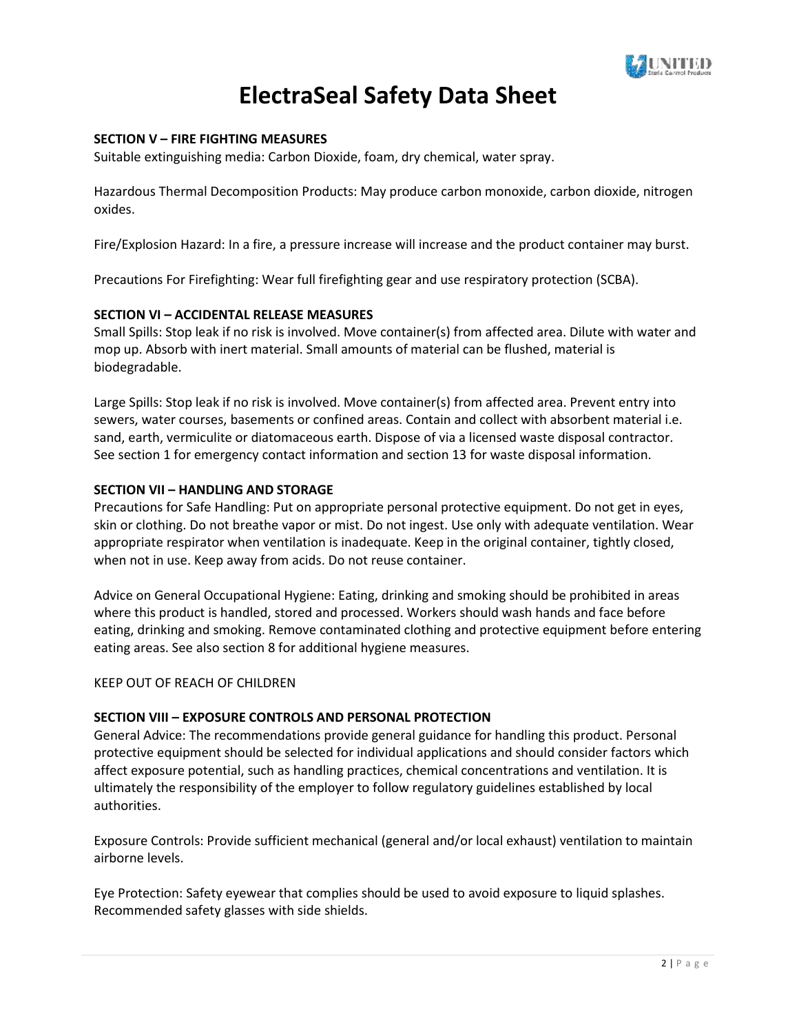

### **SECTION V – FIRE FIGHTING MEASURES**

Suitable extinguishing media: Carbon Dioxide, foam, dry chemical, water spray.

Hazardous Thermal Decomposition Products: May produce carbon monoxide, carbon dioxide, nitrogen oxides.

Fire/Explosion Hazard: In a fire, a pressure increase will increase and the product container may burst.

Precautions For Firefighting: Wear full firefighting gear and use respiratory protection (SCBA).

#### **SECTION VI – ACCIDENTAL RELEASE MEASURES**

Small Spills: Stop leak if no risk is involved. Move container(s) from affected area. Dilute with water and mop up. Absorb with inert material. Small amounts of material can be flushed, material is biodegradable.

Large Spills: Stop leak if no risk is involved. Move container(s) from affected area. Prevent entry into sewers, water courses, basements or confined areas. Contain and collect with absorbent material i.e. sand, earth, vermiculite or diatomaceous earth. Dispose of via a licensed waste disposal contractor. See section 1 for emergency contact information and section 13 for waste disposal information.

#### **SECTION VII – HANDLING AND STORAGE**

Precautions for Safe Handling: Put on appropriate personal protective equipment. Do not get in eyes, skin or clothing. Do not breathe vapor or mist. Do not ingest. Use only with adequate ventilation. Wear appropriate respirator when ventilation is inadequate. Keep in the original container, tightly closed, when not in use. Keep away from acids. Do not reuse container.

Advice on General Occupational Hygiene: Eating, drinking and smoking should be prohibited in areas where this product is handled, stored and processed. Workers should wash hands and face before eating, drinking and smoking. Remove contaminated clothing and protective equipment before entering eating areas. See also section 8 for additional hygiene measures.

#### KEEP OUT OF REACH OF CHILDREN

## **SECTION VIII – EXPOSURE CONTROLS AND PERSONAL PROTECTION**

General Advice: The recommendations provide general guidance for handling this product. Personal protective equipment should be selected for individual applications and should consider factors which affect exposure potential, such as handling practices, chemical concentrations and ventilation. It is ultimately the responsibility of the employer to follow regulatory guidelines established by local authorities.

Exposure Controls: Provide sufficient mechanical (general and/or local exhaust) ventilation to maintain airborne levels.

Eye Protection: Safety eyewear that complies should be used to avoid exposure to liquid splashes. Recommended safety glasses with side shields.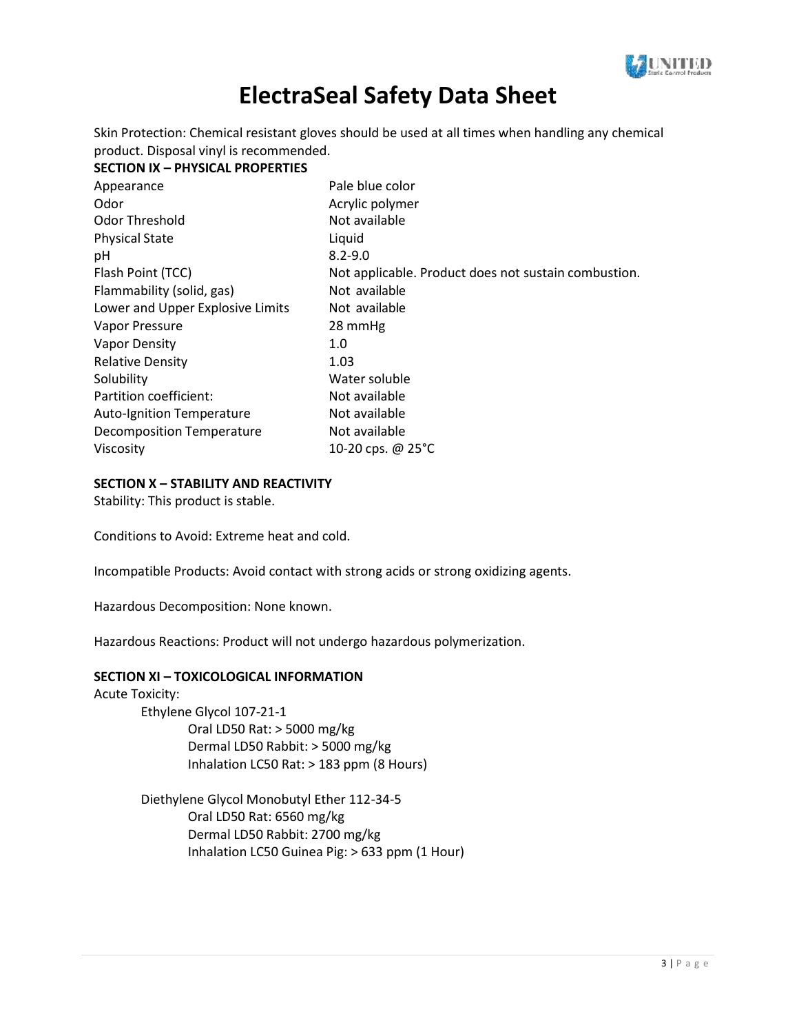

Skin Protection: Chemical resistant gloves should be used at all times when handling any chemical product. Disposal vinyl is recommended.

#### **SECTION IX – PHYSICAL PROPERTIES**

| Appearance                       | Pale blue color                                      |
|----------------------------------|------------------------------------------------------|
| Odor                             | Acrylic polymer                                      |
| <b>Odor Threshold</b>            | Not available                                        |
| <b>Physical State</b>            | Liquid                                               |
| рH                               | $8.2 - 9.0$                                          |
| Flash Point (TCC)                | Not applicable. Product does not sustain combustion. |
| Flammability (solid, gas)        | Not available                                        |
| Lower and Upper Explosive Limits | Not available                                        |
| Vapor Pressure                   | 28 mmHg                                              |
| <b>Vapor Density</b>             | 1.0                                                  |
| <b>Relative Density</b>          | 1.03                                                 |
| Solubility                       | Water soluble                                        |
| Partition coefficient:           | Not available                                        |
| <b>Auto-Ignition Temperature</b> | Not available                                        |
| <b>Decomposition Temperature</b> | Not available                                        |
| Viscosity                        | 10-20 cps. @ $25^{\circ}$ C                          |

## **SECTION X – STABILITY AND REACTIVITY**

Stability: This product is stable.

Conditions to Avoid: Extreme heat and cold.

Incompatible Products: Avoid contact with strong acids or strong oxidizing agents.

Hazardous Decomposition: None known.

Hazardous Reactions: Product will not undergo hazardous polymerization.

#### **SECTION XI – TOXICOLOGICAL INFORMATION**

Acute Toxicity:

Ethylene Glycol 107-21-1 Oral LD50 Rat: > 5000 mg/kg Dermal LD50 Rabbit: > 5000 mg/kg Inhalation LC50 Rat: > 183 ppm (8 Hours)

Diethylene Glycol Monobutyl Ether 112-34-5 Oral LD50 Rat: 6560 mg/kg Dermal LD50 Rabbit: 2700 mg/kg Inhalation LC50 Guinea Pig: > 633 ppm (1 Hour)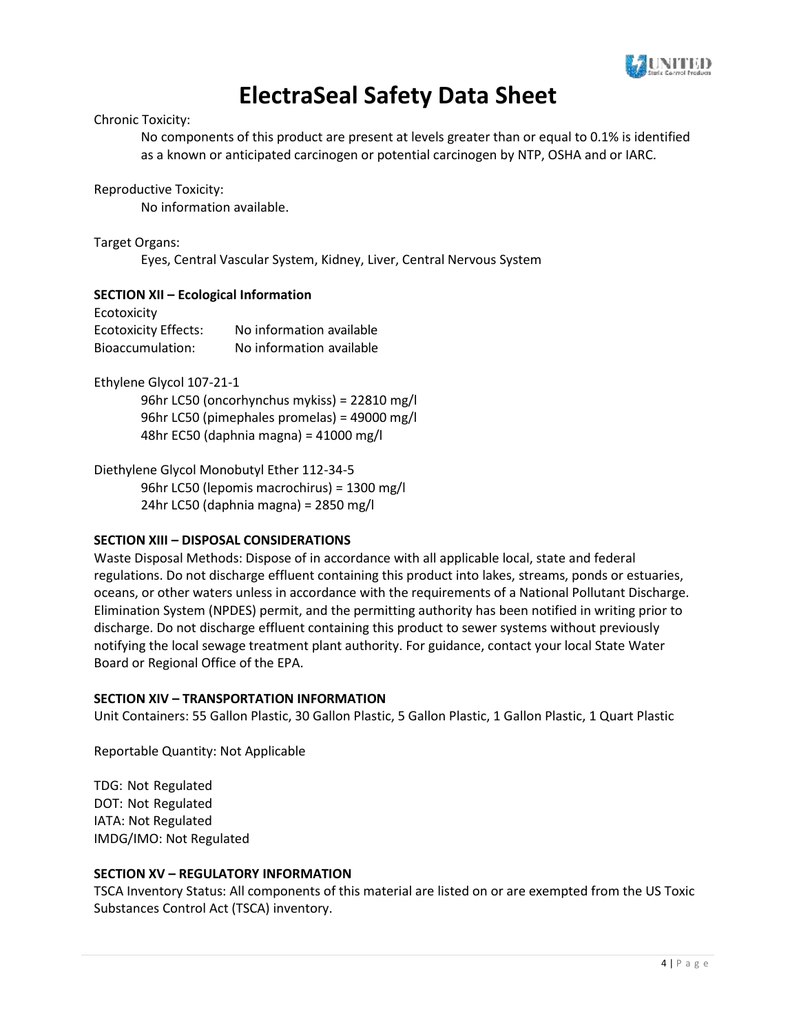

#### Chronic Toxicity:

No components of this product are present at levels greater than or equal to 0.1% is identified as a known or anticipated carcinogen or potential carcinogen by NTP, OSHA and or IARC.

Reproductive Toxicity:

No information available.

Target Organs:

Eyes, Central Vascular System, Kidney, Liver, Central Nervous System

## **SECTION XII – Ecological Information**

| Ecotoxicity                 |                          |
|-----------------------------|--------------------------|
| <b>Ecotoxicity Effects:</b> | No information available |
| Bioaccumulation:            | No information available |

Ethylene Glycol 107-21-1

96hr LC50 (oncorhynchus mykiss) = 22810 mg/l 96hr LC50 (pimephales promelas) = 49000 mg/l 48hr EC50 (daphnia magna) = 41000 mg/l

Diethylene Glycol Monobutyl Ether 112-34-5 96hr LC50 (lepomis macrochirus) = 1300 mg/l 24hr LC50 (daphnia magna) = 2850 mg/l

## **SECTION XIII – DISPOSAL CONSIDERATIONS**

Waste Disposal Methods: Dispose of in accordance with all applicable local, state and federal regulations. Do not discharge effluent containing this product into lakes, streams, ponds or estuaries, oceans, or other waters unless in accordance with the requirements of a National Pollutant Discharge. Elimination System (NPDES) permit, and the permitting authority has been notified in writing prior to discharge. Do not discharge effluent containing this product to sewer systems without previously notifying the local sewage treatment plant authority. For guidance, contact your local State Water Board or Regional Office of the EPA.

## **SECTION XIV – TRANSPORTATION INFORMATION**

Unit Containers: 55 Gallon Plastic, 30 Gallon Plastic, 5 Gallon Plastic, 1 Gallon Plastic, 1 Quart Plastic

Reportable Quantity: Not Applicable

TDG: Not Regulated DOT: Not Regulated IATA: Not Regulated IMDG/IMO: Not Regulated

## **SECTION XV – REGULATORY INFORMATION**

TSCA Inventory Status: All components of this material are listed on or are exempted from the US Toxic Substances Control Act (TSCA) inventory.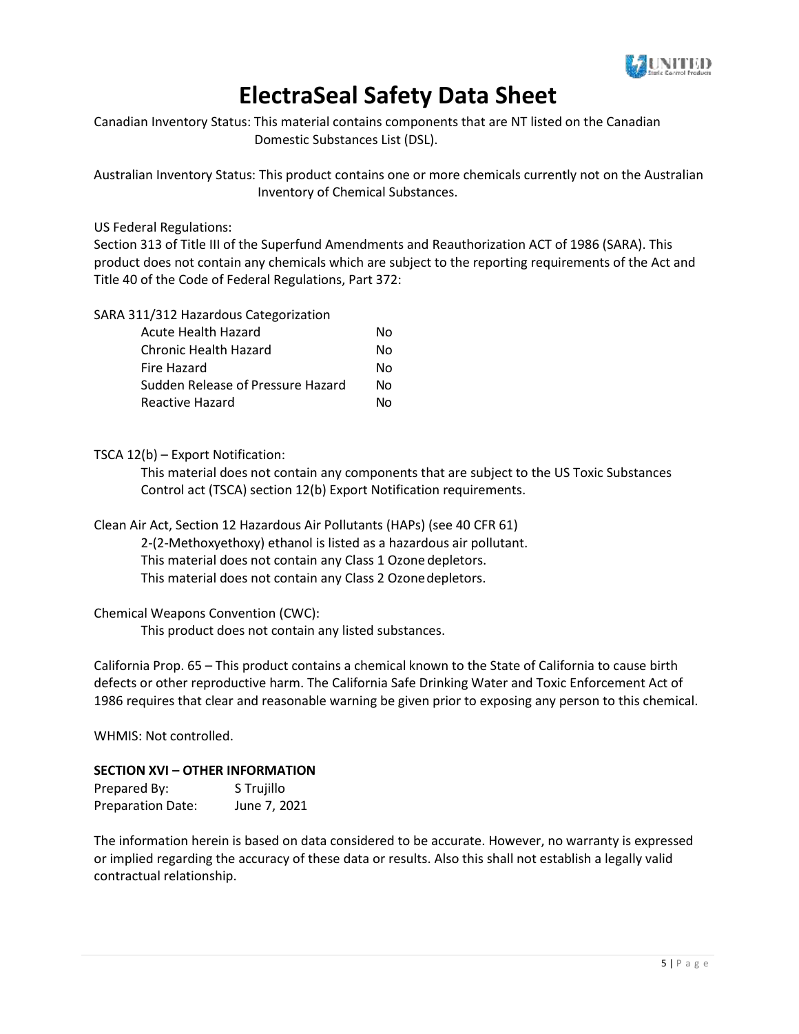

Canadian Inventory Status: This material contains components that are NT listed on the Canadian Domestic Substances List (DSL).

Australian Inventory Status: This product contains one or more chemicals currently not on the Australian Inventory of Chemical Substances.

US Federal Regulations:

Section 313 of Title III of the Superfund Amendments and Reauthorization ACT of 1986 (SARA). This product does not contain any chemicals which are subject to the reporting requirements of the Act and Title 40 of the Code of Federal Regulations, Part 372:

SARA 311/312 Hazardous Categorization

| Acute Health Hazard               | No. |
|-----------------------------------|-----|
| Chronic Health Hazard             | Nο  |
| Fire Hazard                       | N٥  |
| Sudden Release of Pressure Hazard | Nο  |
| Reactive Hazard                   | N٥  |

## TSCA 12(b) – Export Notification:

This material does not contain any components that are subject to the US Toxic Substances Control act (TSCA) section 12(b) Export Notification requirements.

Clean Air Act, Section 12 Hazardous Air Pollutants (HAPs) (see 40 CFR 61) 2-(2-Methoxyethoxy) ethanol is listed as a hazardous air pollutant. This material does not contain any Class 1 Ozone depletors. This material does not contain any Class 2 Ozonedepletors.

## Chemical Weapons Convention (CWC):

This product does not contain any listed substances.

California Prop. 65 – This product contains a chemical known to the State of California to cause birth defects or other reproductive harm. The California Safe Drinking Water and Toxic Enforcement Act of 1986 requires that clear and reasonable warning be given prior to exposing any person to this chemical.

WHMIS: Not controlled.

## **SECTION XVI – OTHER INFORMATION**

| Prepared By:             | S Trujillo   |
|--------------------------|--------------|
| <b>Preparation Date:</b> | June 7, 2021 |

The information herein is based on data considered to be accurate. However, no warranty is expressed or implied regarding the accuracy of these data or results. Also this shall not establish a legally valid contractual relationship.